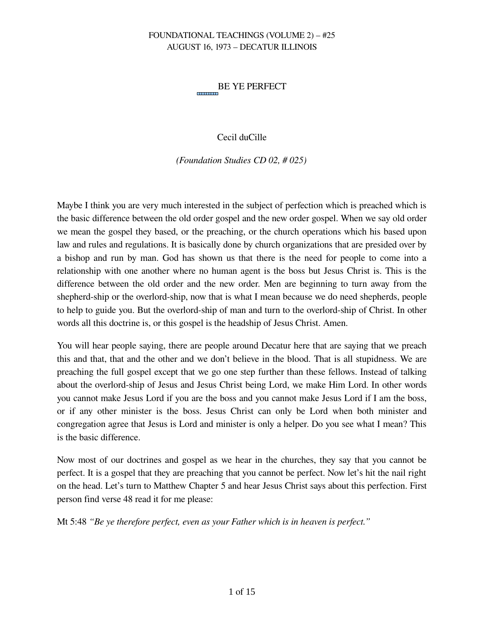#### BE YE PERFECT ---------

## Cecil duCille

*(Foundation Studies CD 02, # 025)*

Maybe I think you are very much interested in the subject of perfection which is preached which is the basic difference between the old order gospel and the new order gospel. When we say old order we mean the gospel they based, or the preaching, or the church operations which his based upon law and rules and regulations. It is basically done by church organizations that are presided over by a bishop and run by man. God has shown us that there is the need for people to come into a relationship with one another where no human agent is the boss but Jesus Christ is. This is the difference between the old order and the new order. Men are beginning to turn away from the shepherd-ship or the overlord-ship, now that is what I mean because we do need shepherds, people to help to guide you. But the overlord-ship of man and turn to the overlord-ship of Christ. In other words all this doctrine is, or this gospel is the headship of Jesus Christ. Amen.

You will hear people saying, there are people around Decatur here that are saying that we preach this and that, that and the other and we don't believe in the blood. That is all stupidness. We are preaching the full gospel except that we go one step further than these fellows. Instead of talking about the overlord-ship of Jesus and Jesus Christ being Lord, we make Him Lord. In other words you cannot make Jesus Lord if you are the boss and you cannot make Jesus Lord if I am the boss, or if any other minister is the boss. Jesus Christ can only be Lord when both minister and congregation agree that Jesus is Lord and minister is only a helper. Do you see what I mean? This is the basic difference.

Now most of our doctrines and gospel as we hear in the churches, they say that you cannot be perfect. It is a gospel that they are preaching that you cannot be perfect. Now let's hit the nail right on the head. Let's turn to Matthew Chapter 5 and hear Jesus Christ says about this perfection. First person find verse 48 read it for me please:

Mt 5:48 *"Be ye therefore perfect, even as your Father which is in heaven is perfect."*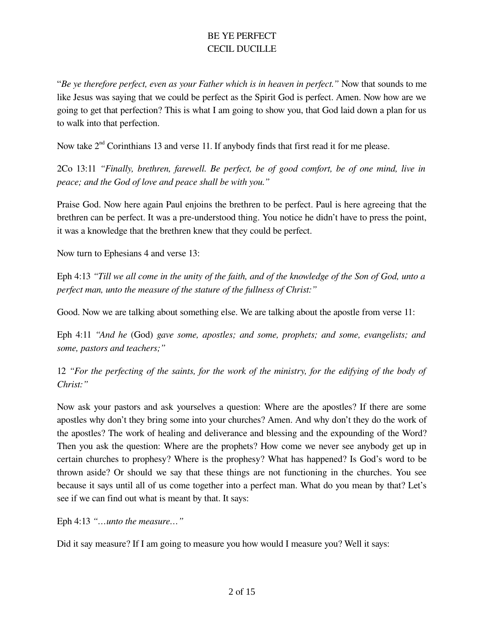"*Be ye therefore perfect, even as your Father which is in heaven in perfect."* Now that sounds to me like Jesus was saying that we could be perfect as the Spirit God is perfect. Amen. Now how are we going to get that perfection? This is what I am going to show you, that God laid down a plan for us to walk into that perfection.

Now take  $2<sup>nd</sup>$  Corinthians 13 and verse 11. If anybody finds that first read it for me please.

2Co 13:11 *"Finally, brethren, farewell. Be perfect, be of good comfort, be of one mind, live in peace; and the God of love and peace shall be with you."*

Praise God. Now here again Paul enjoins the brethren to be perfect. Paul is here agreeing that the brethren can be perfect. It was a pre-understood thing. You notice he didn't have to press the point, it was a knowledge that the brethren knew that they could be perfect.

Now turn to Ephesians 4 and verse 13:

Eph 4:13 *"Till we all come in the unity of the faith, and of the knowledge of the Son of God, unto a perfect man, unto the measure of the stature of the fullness of Christ:"*

Good. Now we are talking about something else. We are talking about the apostle from verse 11:

Eph 4:11 "And he (God) gave some, apostles; and some, prophets; and some, evangelists; and *some, pastors and teachers;"*

12 *"For the perfecting of the saints, for the work of the ministry, for the edifying of the body of Christ:"*

Now ask your pastors and ask yourselves a question: Where are the apostles? If there are some apostles why don't they bring some into your churches? Amen. And why don't they do the work of the apostles? The work of healing and deliverance and blessing and the expounding of the Word? Then you ask the question: Where are the prophets? How come we never see anybody get up in certain churches to prophesy? Where is the prophesy? What has happened? Is God's word to be thrown aside? Or should we say that these things are not functioning in the churches. You see because it says until all of us come together into a perfect man. What do you mean by that? Let's see if we can find out what is meant by that. It says:

Eph 4:13 *"…unto the measure…"*

Did it say measure? If I am going to measure you how would I measure you? Well it says: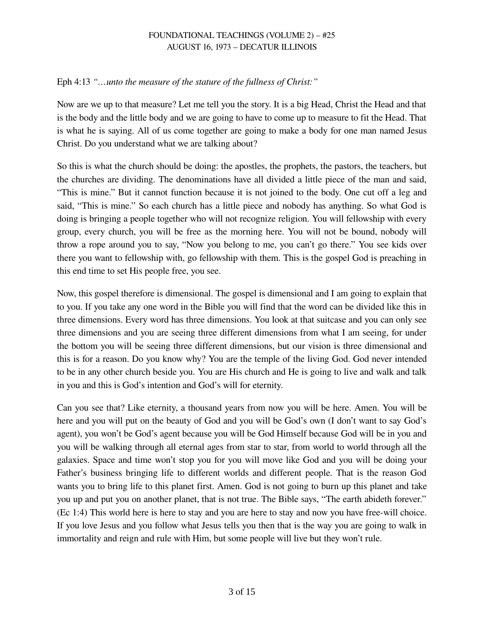## Eph 4:13 *"…unto the measure of the stature of the fullness of Christ:"*

Now are we up to that measure? Let me tell you the story. It is a big Head, Christ the Head and that is the body and the little body and we are going to have to come up to measure to fit the Head. That is what he is saying. All of us come together are going to make a body for one man named Jesus Christ. Do you understand what we are talking about?

So this is what the church should be doing: the apostles, the prophets, the pastors, the teachers, but the churches are dividing. The denominations have all divided a little piece of the man and said, "This is mine." But it cannot function because it is not joined to the body. One cut off a leg and said, "This is mine." So each church has a little piece and nobody has anything. So what God is doing is bringing a people together who will not recognize religion. You will fellowship with every group, every church, you will be free as the morning here. You will not be bound, nobody will throw a rope around you to say, "Now you belong to me, you can't go there." You see kids over there you want to fellowship with, go fellowship with them. This is the gospel God is preaching in this end time to set His people free, you see.

Now, this gospel therefore is dimensional. The gospel is dimensional and I am going to explain that to you. If you take any one word in the Bible you will find that the word can be divided like this in three dimensions. Every word has three dimensions. You look at that suitcase and you can only see three dimensions and you are seeing three different dimensions from what I am seeing, for under the bottom you will be seeing three different dimensions, but our vision is three dimensional and this is for a reason. Do you know why? You are the temple of the living God. God never intended to be in any other church beside you. You are His church and He is going to live and walk and talk in you and this is God's intention and God's will for eternity.

Can you see that? Like eternity, a thousand years from now you will be here. Amen. You will be here and you will put on the beauty of God and you will be God's own (I don't want to say God's agent), you won't be God's agent because you will be God Himself because God will be in you and you will be walking through all eternal ages from star to star, from world to world through all the galaxies. Space and time won't stop you for you will move like God and you will be doing your Father's business bringing life to different worlds and different people. That is the reason God wants you to bring life to this planet first. Amen. God is not going to burn up this planet and take you up and put you on another planet, that is not true. The Bible says, "The earth abideth forever." (Ec 1:4) This world here is here to stay and you are here to stay and now you have freewill choice. If you love Jesus and you follow what Jesus tells you then that is the way you are going to walk in immortality and reign and rule with Him, but some people will live but they won't rule.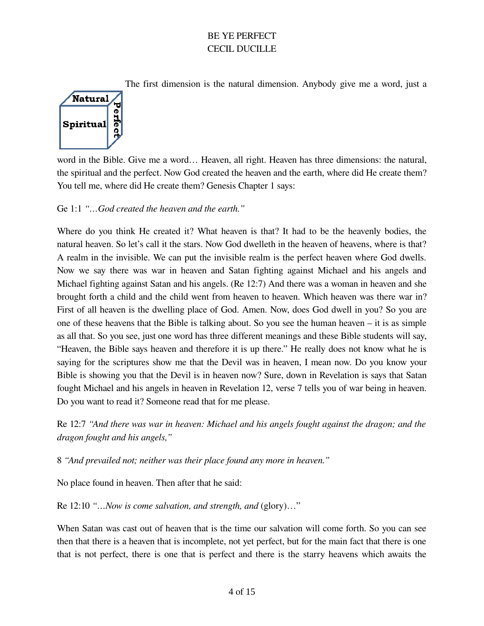The first dimension is the natural dimension. Anybody give me a word, just a



word in the Bible. Give me a word… Heaven, all right. Heaven has three dimensions: the natural, the spiritual and the perfect. Now God created the heaven and the earth, where did He create them? You tell me, where did He create them? Genesis Chapter 1 says:

## Ge 1:1 *"…God created the heaven and the earth."*

Where do you think He created it? What heaven is that? It had to be the heavenly bodies, the natural heaven. So let's call it the stars. Now God dwelleth in the heaven of heavens, where is that? A realm in the invisible. We can put the invisible realm is the perfect heaven where God dwells. Now we say there was war in heaven and Satan fighting against Michael and his angels and Michael fighting against Satan and his angels. (Re 12:7) And there was a woman in heaven and she brought forth a child and the child went from heaven to heaven. Which heaven was there war in? First of all heaven is the dwelling place of God. Amen. Now, does God dwell in you? So you are one of these heavens that the Bible is talking about. So you see the human heaven – it is as simple as all that. So you see, just one word has three different meanings and these Bible students will say, "Heaven, the Bible says heaven and therefore it is up there." He really does not know what he is saying for the scriptures show me that the Devil was in heaven, I mean now. Do you know your Bible is showing you that the Devil is in heaven now? Sure, down in Revelation is says that Satan fought Michael and his angels in heaven in Revelation 12, verse 7 tells you of war being in heaven. Do you want to read it? Someone read that for me please.

Re 12:7 *"And there was war in heaven: Michael and his angels fought against the dragon; and the dragon fought and his angels,"*

8 *"And prevailed not; neither was their place found any more in heaven."*

No place found in heaven. Then after that he said:

Re 12:10 *"…Now is come salvation, and strength, and* (glory)…"

When Satan was cast out of heaven that is the time our salvation will come forth. So you can see then that there is a heaven that is incomplete, not yet perfect, but for the main fact that there is one that is not perfect, there is one that is perfect and there is the starry heavens which awaits the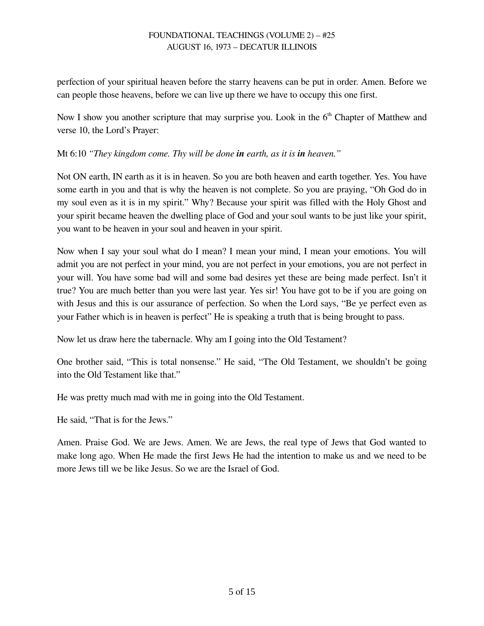perfection of your spiritual heaven before the starry heavens can be put in order. Amen. Before we can people those heavens, before we can live up there we have to occupy this one first.

Now I show you another scripture that may surprise you. Look in the  $6<sup>th</sup>$  Chapter of Matthew and verse 10, the Lord's Prayer:

Mt 6:10 *"They kingdom come. Thy will be done in earth, as it is in heaven."*

Not ON earth, IN earth as it is in heaven. So you are both heaven and earth together. Yes. You have some earth in you and that is why the heaven is not complete. So you are praying, "Oh God do in my soul even as it is in my spirit." Why? Because your spirit was filled with the Holy Ghost and your spirit became heaven the dwelling place of God and your soul wants to be just like your spirit, you want to be heaven in your soul and heaven in your spirit.

Now when I say your soul what do I mean? I mean your mind, I mean your emotions. You will admit you are not perfect in your mind, you are not perfect in your emotions, you are not perfect in your will. You have some bad will and some bad desires yet these are being made perfect. Isn't it true? You are much better than you were last year. Yes sir! You have got to be if you are going on with Jesus and this is our assurance of perfection. So when the Lord says, "Be ye perfect even as your Father which is in heaven is perfect" He is speaking a truth that is being brought to pass.

Now let us draw here the tabernacle. Why am I going into the Old Testament?

One brother said, "This is total nonsense." He said, "The Old Testament, we shouldn't be going into the Old Testament like that."

He was pretty much mad with me in going into the Old Testament.

He said, "That is for the Jews."

Amen. Praise God. We are Jews. Amen. We are Jews, the real type of Jews that God wanted to make long ago. When He made the first Jews He had the intention to make us and we need to be more Jews till we be like Jesus. So we are the Israel of God.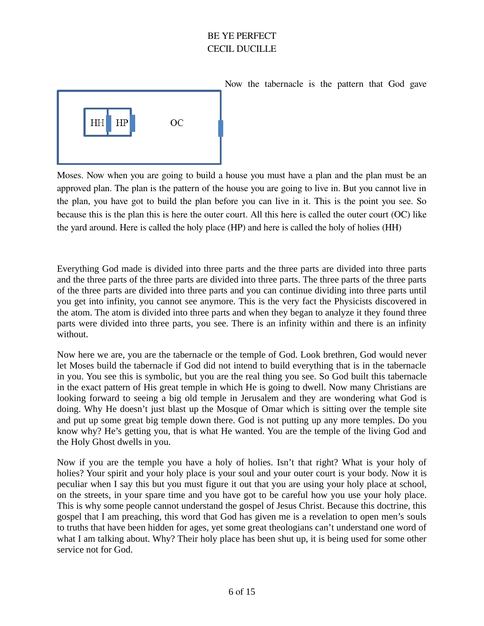

Now the tabernacle is the pattern that God gave

Moses. Now when you are going to build a house you must have a plan and the plan must be an approved plan. The plan is the pattern of the house you are going to live in. But you cannot live in the plan, you have got to build the plan before you can live in it. This is the point you see. So because this is the plan this is here the outer court. All this here is called the outer court (OC) like the yard around. Here is called the holy place (HP) and here is called the holy of holies (HH)

Everything God made is divided into three parts and the three parts are divided into three parts and the three parts of the three parts are divided into three parts. The three parts of the three parts of the three parts are divided into three parts and you can continue dividing into three parts until you get into infinity, you cannot see anymore. This is the very fact the Physicists discovered in the atom. The atom is divided into three parts and when they began to analyze it they found three parts were divided into three parts, you see. There is an infinity within and there is an infinity without.

Now here we are, you are the tabernacle or the temple of God. Look brethren, God would never let Moses build the tabernacle if God did not intend to build everything that is in the tabernacle in you. You see this is symbolic, but you are the real thing you see. So God built this tabernacle in the exact pattern of His great temple in which He is going to dwell. Now many Christians are looking forward to seeing a big old temple in Jerusalem and they are wondering what God is doing. Why He doesn't just blast up the Mosque of Omar which is sitting over the temple site and put up some great big temple down there. God is not putting up any more temples. Do you know why? He's getting you, that is what He wanted. You are the temple of the living God and the Holy Ghost dwells in you.

Now if you are the temple you have a holy of holies. Isn't that right? What is your holy of holies? Your spirit and your holy place is your soul and your outer court is your body. Now it is peculiar when I say this but you must figure it out that you are using your holy place at school, on the streets, in your spare time and you have got to be careful how you use your holy place. This is why some people cannot understand the gospel of Jesus Christ. Because this doctrine, this gospel that I am preaching, this word that God has given me is a revelation to open men's souls to truths that have been hidden for ages, yet some great theologians can't understand one word of what I am talking about. Why? Their holy place has been shut up, it is being used for some other service not for God.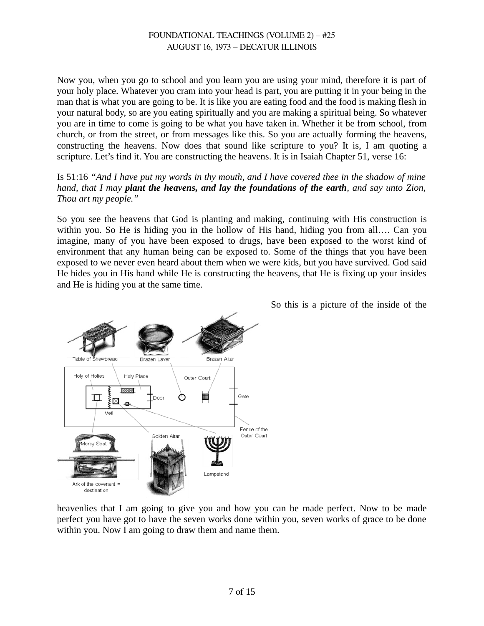Now you, when you go to school and you learn you are using your mind, therefore it is part of your holy place. Whatever you cram into your head is part, you are putting it in your being in the man that is what you are going to be. It is like you are eating food and the food is making flesh in your natural body, so are you eating spiritually and you are making a spiritual being. So whatever you are in time to come is going to be what you have taken in. Whether it be from school, from church, or from the street, or from messages like this. So you are actually forming the heavens, constructing the heavens. Now does that sound like scripture to you? It is, I am quoting a scripture. Let's find it. You are constructing the heavens. It is in Isaiah Chapter 51, verse 16:

Is 51:16 *"And I have put my words in thy mouth, and I have covered thee in the shadow of mine hand, that I may plant the heavens, and lay the foundations of the earth, and say unto Zion, Thou art my people."*

So you see the heavens that God is planting and making, continuing with His construction is within you. So He is hiding you in the hollow of His hand, hiding you from all…. Can you imagine, many of you have been exposed to drugs, have been exposed to the worst kind of environment that any human being can be exposed to. Some of the things that you have been exposed to we never even heard about them when we were kids, but you have survived. God said He hides you in His hand while He is constructing the heavens, that He is fixing up your insides and He is hiding you at the same time.



So this is a picture of the inside of the

heavenlies that I am going to give you and how you can be made perfect. Now to be made perfect you have got to have the seven works done within you, seven works of grace to be done within you. Now I am going to draw them and name them.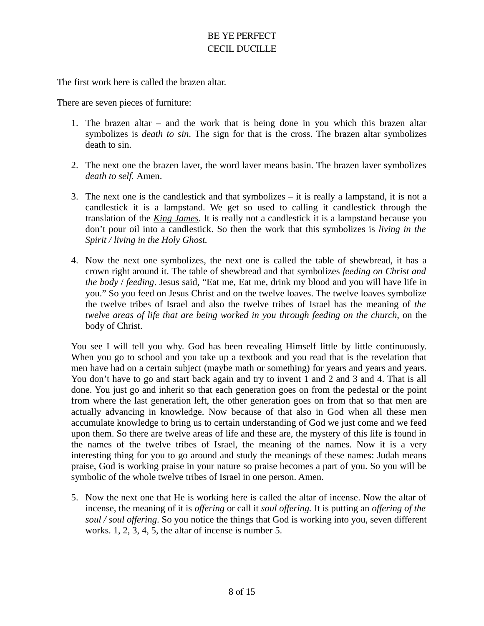The first work here is called the brazen altar.

There are seven pieces of furniture:

- 1. The brazen altar and the work that is being done in you which this brazen altar symbolizes is *death to sin*. The sign for that is the cross. The brazen altar symbolizes death to sin.
- 2. The next one the brazen laver, the word laver means basin. The brazen laver symbolizes *death to self.* Amen.
- 3. The next one is the candlestick and that symbolizes it is really a lampstand, it is not a candlestick it is a lampstand. We get so used to calling it candlestick through the translation of the *King James*. It is really not a candlestick it is a lampstand because you don't pour oil into a candlestick. So then the work that this symbolizes is *living in the Spirit / living in the Holy Ghost.*
- 4. Now the next one symbolizes, the next one is called the table of shewbread, it has a crown right around it. The table of shewbread and that symbolizes *feeding on Christ and the body* / *feeding*. Jesus said, "Eat me, Eat me, drink my blood and you will have life in you." So you feed on Jesus Christ and on the twelve loaves. The twelve loaves symbolize the twelve tribes of Israel and also the twelve tribes of Israel has the meaning of *the twelve areas of life that are being worked in you through feeding on the church*, on the body of Christ.

You see I will tell you why. God has been revealing Himself little by little continuously. When you go to school and you take up a textbook and you read that is the revelation that men have had on a certain subject (maybe math or something) for years and years and years. You don't have to go and start back again and try to invent 1 and 2 and 3 and 4. That is all done. You just go and inherit so that each generation goes on from the pedestal or the point from where the last generation left, the other generation goes on from that so that men are actually advancing in knowledge. Now because of that also in God when all these men accumulate knowledge to bring us to certain understanding of God we just come and we feed upon them. So there are twelve areas of life and these are, the mystery of this life is found in the names of the twelve tribes of Israel, the meaning of the names. Now it is a very interesting thing for you to go around and study the meanings of these names: Judah means praise, God is working praise in your nature so praise becomes a part of you. So you will be symbolic of the whole twelve tribes of Israel in one person. Amen.

5. Now the next one that He is working here is called the altar of incense. Now the altar of incense, the meaning of it is *offering* or call it *soul offering.* It is putting an *offering of the soul / soul offering*. So you notice the things that God is working into you, seven different works. 1, 2, 3, 4, 5, the altar of incense is number 5.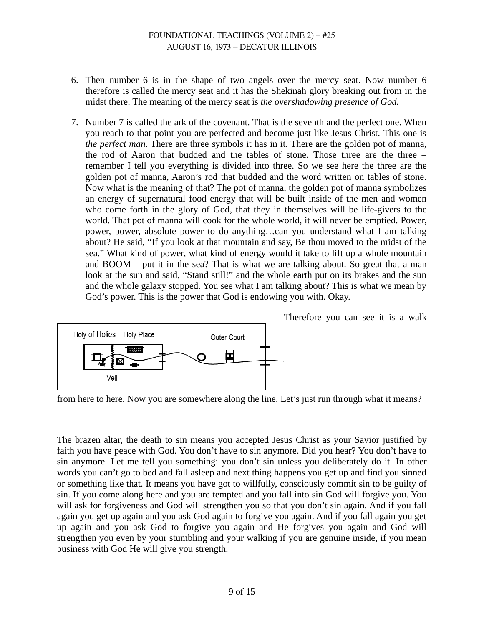- 6. Then number 6 is in the shape of two angels over the mercy seat. Now number 6 therefore is called the mercy seat and it has the Shekinah glory breaking out from in the midst there. The meaning of the mercy seat is *the overshadowing presence of God.*
- 7. Number 7 is called the ark of the covenant. That is the seventh and the perfect one. When you reach to that point you are perfected and become just like Jesus Christ. This one is *the perfect man*. There are three symbols it has in it. There are the golden pot of manna, the rod of Aaron that budded and the tables of stone. Those three are the three – remember I tell you everything is divided into three. So we see here the three are the golden pot of manna, Aaron's rod that budded and the word written on tables of stone. Now what is the meaning of that? The pot of manna, the golden pot of manna symbolizes an energy of supernatural food energy that will be built inside of the men and women who come forth in the glory of God, that they in themselves will be life-givers to the world. That pot of manna will cook for the whole world, it will never be emptied. Power, power, power, absolute power to do anything…can you understand what I am talking about? He said, "If you look at that mountain and say, Be thou moved to the midst of the sea." What kind of power, what kind of energy would it take to lift up a whole mountain and  $B O O M -$  put it in the sea? That is what we are talking about. So great that a man look at the sun and said, "Stand still!" and the whole earth put on its brakes and the sun and the whole galaxy stopped. You see what I am talking about? This is what we mean by God's power. This is the power that God is endowing you with. Okay.



Therefore you can see it is a walk

from here to here. Now you are somewhere along the line. Let's just run through what it means?

The brazen altar, the death to sin means you accepted Jesus Christ as your Savior justified by faith you have peace with God. You don't have to sin anymore. Did you hear? You don't have to sin anymore. Let me tell you something: you don't sin unless you deliberately do it. In other words you can't go to bed and fall asleep and next thing happens you get up and find you sinned or something like that. It means you have got to willfully, consciously commit sin to be guilty of sin. If you come along here and you are tempted and you fall into sin God will forgive you. You will ask for forgiveness and God will strengthen you so that you don't sin again. And if you fall again you get up again and you ask God again to forgive you again. And if you fall again you get up again and you ask God to forgive you again and He forgives you again and God will strengthen you even by your stumbling and your walking if you are genuine inside, if you mean business with God He will give you strength.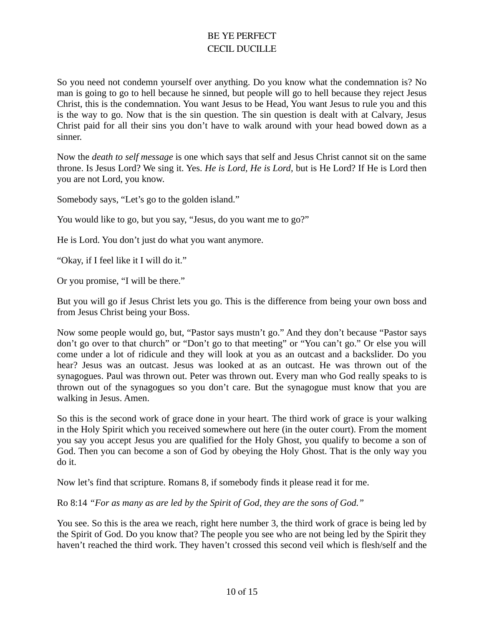So you need not condemn yourself over anything. Do you know what the condemnation is? No man is going to go to hell because he sinned, but people will go to hell because they reject Jesus Christ, this is the condemnation. You want Jesus to be Head, You want Jesus to rule you and this is the way to go. Now that is the sin question. The sin question is dealt with at Calvary, Jesus Christ paid for all their sins you don't have to walk around with your head bowed down as a sinner.

Now the *death to self message* is one which says that self and Jesus Christ cannot sit on the same throne. Is Jesus Lord? We sing it. Yes. *He is Lord, He is Lord,* but is He Lord? If He is Lord then you are not Lord, you know.

Somebody says, "Let's go to the golden island."

You would like to go, but you say, "Jesus, do you want me to go?"

He is Lord. You don't just do what you want anymore.

"Okay, if I feel like it I will do it."

Or you promise, "I will be there."

But you will go if Jesus Christ lets you go. This is the difference from being your own boss and from Jesus Christ being your Boss.

Now some people would go, but, "Pastor says mustn't go." And they don't because "Pastor says don't go over to that church" or "Don't go to that meeting" or "You can't go." Or else you will come under a lot of ridicule and they will look at you as an outcast and a backslider. Do you hear? Jesus was an outcast. Jesus was looked at as an outcast. He was thrown out of the synagogues. Paul was thrown out. Peter was thrown out. Every man who God really speaks to is thrown out of the synagogues so you don't care. But the synagogue must know that you are walking in Jesus. Amen.

So this is the second work of grace done in your heart. The third work of grace is your walking in the Holy Spirit which you received somewhere out here (in the outer court). From the moment you say you accept Jesus you are qualified for the Holy Ghost, you qualify to become a son of God. Then you can become a son of God by obeying the Holy Ghost. That is the only way you do it.

Now let's find that scripture. Romans 8, if somebody finds it please read it for me.

Ro 8:14 *"For as many as are led by the Spirit of God, they are the sons of God."*

You see. So this is the area we reach, right here number 3, the third work of grace is being led by the Spirit of God. Do you know that? The people you see who are not being led by the Spirit they haven't reached the third work. They haven't crossed this second veil which is flesh/self and the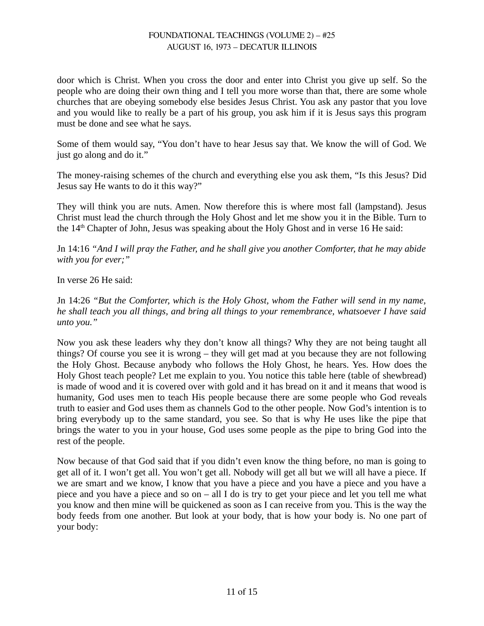door which is Christ. When you cross the door and enter into Christ you give up self. So the people who are doing their own thing and I tell you more worse than that, there are some whole churches that are obeying somebody else besides Jesus Christ. You ask any pastor that you love and you would like to really be a part of his group, you ask him if it is Jesus says this program must be done and see what he says.

Some of them would say, "You don't have to hear Jesus say that. We know the will of God. We just go along and do it."

The money-raising schemes of the church and everything else you ask them, "Is this Jesus? Did Jesus say He wants to do it this way?"

They will think you are nuts. Amen. Now therefore this is where most fall (lampstand). Jesus Christ must lead the church through the Holy Ghost and let me show you it in the Bible. Turn to the 14<sup>th</sup> Chapter of John, Jesus was speaking about the Holy Ghost and in verse 16 He said:

Jn 14:16 *"And I will pray the Father, and he shall give you another Comforter, that he may abide with you for ever;"*

In verse 26 He said:

Jn 14:26 *"But the Comforter, which is the Holy Ghost, whom the Father will send in my name, he shall teach you all things, and bring all things to your remembrance, whatsoever I have said unto you."*

Now you ask these leaders why they don't know all things? Why they are not being taught all things? Of course you see it is wrong – they will get mad at you because they are not following the Holy Ghost. Because anybody who follows the Holy Ghost, he hears. Yes. How does the Holy Ghost teach people? Let me explain to you. You notice this table here (table of shewbread) is made of wood and it is covered over with gold and it has bread on it and it means that wood is humanity, God uses men to teach His people because there are some people who God reveals truth to easier and God uses them as channels God to the other people. Now God's intention is to bring everybody up to the same standard, you see. So that is why He uses like the pipe that brings the water to you in your house, God uses some people as the pipe to bring God into the rest of the people.

Now because of that God said that if you didn't even know the thing before, no man is going to get all of it. I won't get all. You won't get all. Nobody will get all but we will all have a piece. If we are smart and we know, I know that you have a piece and you have a piece and you have a piece and you have a piece and so on – all I do is try to get your piece and let you tell me what you know and then mine will be quickened as soon as I can receive from you. This is the way the body feeds from one another. But look at your body, that is how your body is. No one part of your body: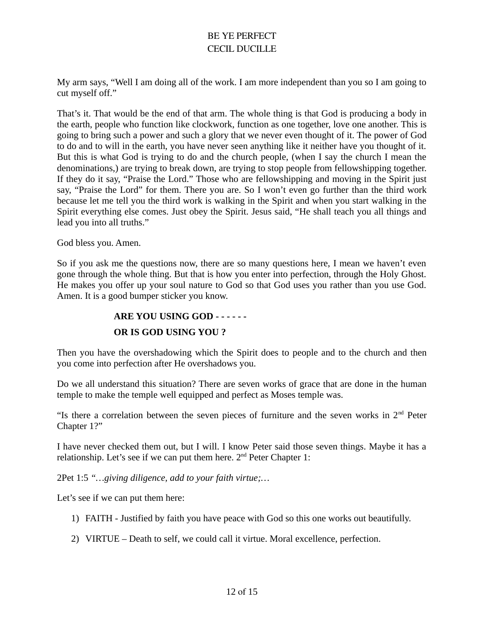My arm says, "Well I am doing all of the work. I am more independent than you so I am going to cut myself off."

That's it. That would be the end of that arm. The whole thing is that God is producing a body in the earth, people who function like clockwork, function as one together, love one another. This is going to bring such a power and such a glory that we never even thought of it. The power of God to do and to will in the earth, you have never seen anything like it neither have you thought of it. But this is what God is trying to do and the church people, (when I say the church I mean the denominations,) are trying to break down, are trying to stop people from fellowshipping together. If they do it say, "Praise the Lord." Those who are fellowshipping and moving in the Spirit just say, "Praise the Lord" for them. There you are. So I won't even go further than the third work because let me tell you the third work is walking in the Spirit and when you start walking in the Spirit everything else comes. Just obey the Spirit. Jesus said, "He shall teach you all things and lead you into all truths."

God bless you. Amen.

So if you ask me the questions now, there are so many questions here, I mean we haven't even gone through the whole thing. But that is how you enter into perfection, through the Holy Ghost. He makes you offer up your soul nature to God so that God uses you rather than you use God. Amen. It is a good bumper sticker you know.

#### **ARE YOU USING GOD - - - - - -**

#### **OR IS GOD USING YOU ?**

Then you have the overshadowing which the Spirit does to people and to the church and then you come into perfection after He overshadows you.

Do we all understand this situation? There are seven works of grace that are done in the human temple to make the temple well equipped and perfect as Moses temple was.

"Is there a correlation between the seven pieces of furniture and the seven works in  $2<sup>nd</sup>$  Peter Chapter 1?"

I have never checked them out, but I will. I know Peter said those seven things. Maybe it has a relationship. Let's see if we can put them here.  $2<sup>nd</sup>$  Peter Chapter 1:

2Pet 1:5 *"…giving diligence, add to your faith virtue;…*

Let's see if we can put them here:

- 1) FAITH Justified by faith you have peace with God so this one works out beautifully.
- 2) VIRTUE Death to self, we could call it virtue. Moral excellence, perfection.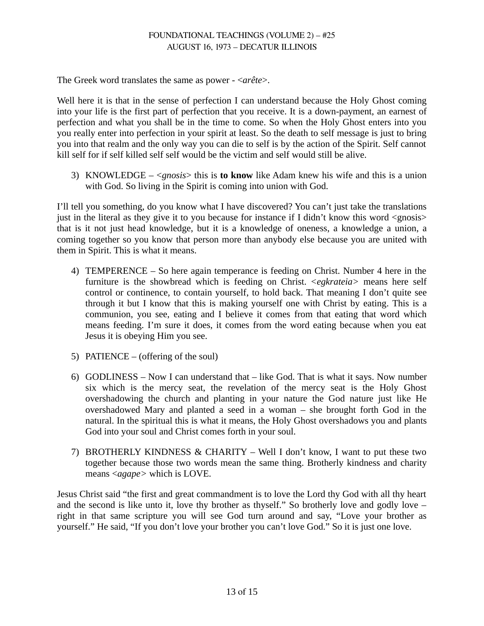The Greek word translates the same as power - <*arête*>.

Well here it is that in the sense of perfection I can understand because the Holy Ghost coming into your life is the first part of perfection that you receive. It is a down-payment, an earnest of perfection and what you shall be in the time to come. So when the Holy Ghost enters into you you really enter into perfection in your spirit at least. So the death to self message is just to bring you into that realm and the only way you can die to self is by the action of the Spirit. Self cannot kill self for if self killed self self would be the victim and self would still be alive.

3) KNOWLEDGE – <*gnosis*> this is **to know** like Adam knew his wife and this is a union with God. So living in the Spirit is coming into union with God.

I'll tell you something, do you know what I have discovered? You can't just take the translations just in the literal as they give it to you because for instance if I didn't know this word <gnosis> that is it not just head knowledge, but it is a knowledge of oneness, a knowledge a union, a coming together so you know that person more than anybody else because you are united with them in Spirit. This is what it means.

- 4) TEMPERENCE So here again temperance is feeding on Christ. Number 4 here in the furniture is the showbread which is feeding on Christ. <*egkrateia>* means here self control or continence, to contain yourself, to hold back. That meaning I don't quite see through it but I know that this is making yourself one with Christ by eating. This is a communion, you see, eating and I believe it comes from that eating that word which means feeding. I'm sure it does, it comes from the word eating because when you eat Jesus it is obeying Him you see.
- 5) PATIENCE (offering of the soul)
- 6) GODLINESS Now I can understand that  $-$  like God. That is what it says. Now number six which is the mercy seat, the revelation of the mercy seat is the Holy Ghost overshadowing the church and planting in your nature the God nature just like He overshadowed Mary and planted a seed in a woman – she brought forth God in the natural. In the spiritual this is what it means, the Holy Ghost overshadows you and plants God into your soul and Christ comes forth in your soul.
- 7) BROTHERLY KINDNESS & CHARITY Well I don't know, I want to put these two together because those two words mean the same thing. Brotherly kindness and charity means <*agape>* which is LOVE.

Jesus Christ said "the first and great commandment is to love the Lord thy God with all thy heart and the second is like unto it, love thy brother as thyself." So brotherly love and godly love – right in that same scripture you will see God turn around and say, "Love your brother as yourself." He said, "If you don't love your brother you can't love God." So it is just one love.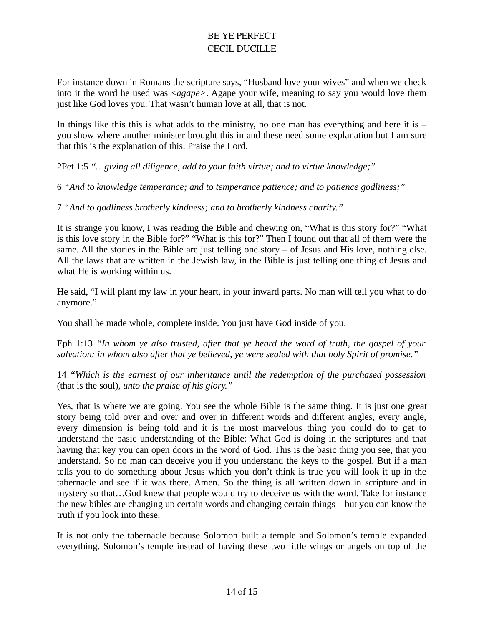For instance down in Romans the scripture says, "Husband love your wives" and when we check into it the word he used was <*agape>*. Agape your wife, meaning to say you would love them just like God loves you. That wasn't human love at all, that is not.

In things like this this is what adds to the ministry, no one man has everything and here it is  $$ you show where another minister brought this in and these need some explanation but I am sure that this is the explanation of this. Praise the Lord.

2Pet 1:5 *"…giving all diligence, add to your faith virtue; and to virtue knowledge;"*

6 *"And to knowledge temperance; and to temperance patience; and to patience godliness;"* 

7 *"And to godliness brotherly kindness; and to brotherly kindness charity."*

It is strange you know, I was reading the Bible and chewing on, "What is this story for?" "What is this love story in the Bible for?" "What is this for?" Then I found out that all of them were the same. All the stories in the Bible are just telling one story  $-$  of Jesus and His love, nothing else. All the laws that are written in the Jewish law, in the Bible is just telling one thing of Jesus and what He is working within us.

He said, "I will plant my law in your heart, in your inward parts. No man will tell you what to do anymore."

You shall be made whole, complete inside. You just have God inside of you.

Eph 1:13 *"In whom ye also trusted, after that ye heard the word of truth, the gospel of your salvation: in whom also after that ye believed, ye were sealed with that holy Spirit of promise."*

14 *"Which is the earnest of our inheritance until the redemption of the purchased possession* (that is the soul)*, unto the praise of his glory."*

Yes, that is where we are going. You see the whole Bible is the same thing. It is just one great story being told over and over and over in different words and different angles, every angle, every dimension is being told and it is the most marvelous thing you could do to get to understand the basic understanding of the Bible: What God is doing in the scriptures and that having that key you can open doors in the word of God. This is the basic thing you see, that you understand. So no man can deceive you if you understand the keys to the gospel. But if a man tells you to do something about Jesus which you don't think is true you will look it up in the tabernacle and see if it was there. Amen. So the thing is all written down in scripture and in mystery so that…God knew that people would try to deceive us with the word. Take for instance the new bibles are changing up certain words and changing certain things – but you can know the truth if you look into these.

It is not only the tabernacle because Solomon built a temple and Solomon's temple expanded everything. Solomon's temple instead of having these two little wings or angels on top of the